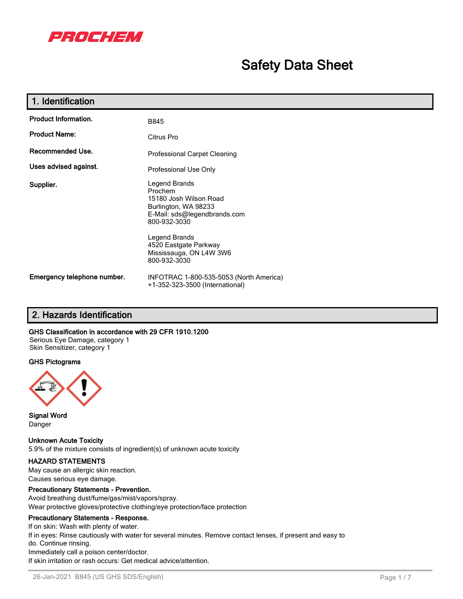

# **Safety Data Sheet**

| 1. Identification           |                                                                                                                                                                                                                 |
|-----------------------------|-----------------------------------------------------------------------------------------------------------------------------------------------------------------------------------------------------------------|
| <b>Product Information.</b> | <b>B845</b>                                                                                                                                                                                                     |
| <b>Product Name:</b>        | Citrus Pro                                                                                                                                                                                                      |
| Recommended Use.            | <b>Professional Carpet Cleaning</b>                                                                                                                                                                             |
| Uses advised against.       | Professional Use Only                                                                                                                                                                                           |
| Supplier.                   | Legend Brands<br>Prochem<br>15180 Josh Wilson Road<br>Burlington, WA 98233<br>E-Mail: sds@legendbrands.com<br>800-932-3030<br>Legend Brands<br>4520 Eastgate Parkway<br>Mississauga, ON L4W 3W6<br>800-932-3030 |
| Emergency telephone number. | INFOTRAC 1-800-535-5053 (North America)<br>+1-352-323-3500 (International)                                                                                                                                      |

## **2. Hazards Identification**

#### **GHS Classification in accordance with 29 CFR 1910.1200**

Serious Eye Damage, category 1 Skin Sensitizer, category 1

#### **GHS Pictograms**



**Signal Word** Danger

**Unknown Acute Toxicity** 5.9% of the mixture consists of ingredient(s) of unknown acute toxicity

### **HAZARD STATEMENTS**

May cause an allergic skin reaction. Causes serious eye damage.

#### **Precautionary Statements - Prevention.**

Avoid breathing dust/fume/gas/mist/vapors/spray. Wear protective gloves/protective clothing/eye protection/face protection

#### **Precautionary Statements - Response.**

If on skin: Wash with plenty of water. If in eyes: Rinse cautiously with water for several minutes. Remove contact lenses, if present and easy to do. Continue rinsing. Immediately call a poison center/doctor. If skin irritation or rash occurs: Get medical advice/attention.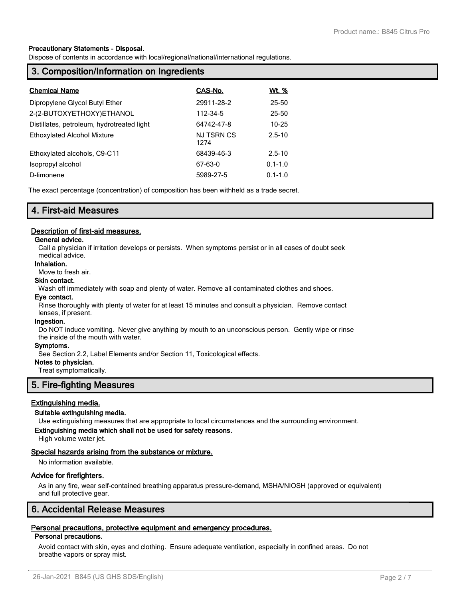#### **Precautionary Statements - Disposal.**

Dispose of contents in accordance with local/regional/national/international regulations.

## **3. Composition/Information on Ingredients**

| <b>Chemical Name</b>                       | CAS-No.                   | <u>Wt. %</u> |
|--------------------------------------------|---------------------------|--------------|
| Dipropylene Glycol Butyl Ether             | 29911-28-2                | 25-50        |
| 2-(2-BUTOXYETHOXY)ETHANOL                  | 112-34-5                  | 25-50        |
| Distillates, petroleum, hydrotreated light | 64742-47-8                | $10 - 25$    |
| <b>Ethoxylated Alcohol Mixture</b>         | <b>NJ TSRN CS</b><br>1274 | $2.5 - 10$   |
| Ethoxylated alcohols, C9-C11               | 68439-46-3                | $2.5 - 10$   |
| Isopropyl alcohol                          | 67-63-0                   | $0.1 - 1.0$  |
| D-limonene                                 | 5989-27-5                 | $0.1 - 1.0$  |

The exact percentage (concentration) of composition has been withheld as a trade secret.

## **4. First-aid Measures**

#### **Description of first-aid measures.**

#### **General advice.**

Call a physician if irritation develops or persists. When symptoms persist or in all cases of doubt seek medical advice.

#### **Inhalation.**

Move to fresh air.

### **Skin contact.**

Wash off immediately with soap and plenty of water. Remove all contaminated clothes and shoes.

#### **Eye contact.**

Rinse thoroughly with plenty of water for at least 15 minutes and consult a physician. Remove contact lenses, if present.

#### **Ingestion.**

Do NOT induce vomiting. Never give anything by mouth to an unconscious person. Gently wipe or rinse the inside of the mouth with water.

#### **Symptoms.**

See Section 2.2, Label Elements and/or Section 11, Toxicological effects.

#### **Notes to physician.**

Treat symptomatically.

### **5. Fire-fighting Measures**

### **Extinguishing media.**

#### **Suitable extinguishing media.**

Use extinguishing measures that are appropriate to local circumstances and the surrounding environment.

## **Extinguishing media which shall not be used for safety reasons.**

High volume water jet.

#### **Special hazards arising from the substance or mixture.**

No information available.

#### **Advice for firefighters.**

As in any fire, wear self-contained breathing apparatus pressure-demand, MSHA/NIOSH (approved or equivalent) and full protective gear.

## **6. Accidental Release Measures**

## **Personal precautions, protective equipment and emergency procedures.**

#### **Personal precautions.**

Avoid contact with skin, eyes and clothing. Ensure adequate ventilation, especially in confined areas. Do not breathe vapors or spray mist.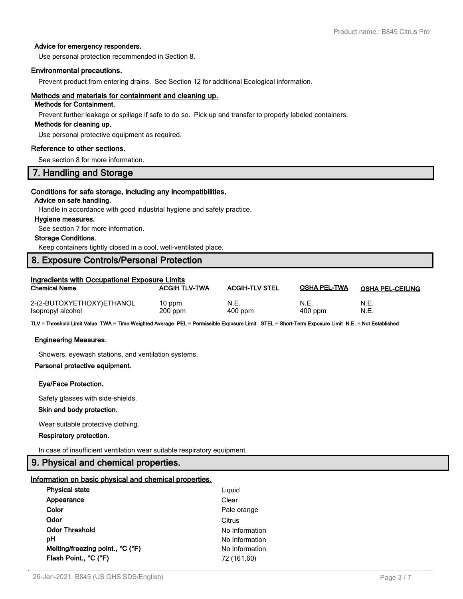### **Advice for emergency responders.**

Use personal protection recommended in Section 8.

### **Environmental precautions.**

Prevent product from entering drains. See Section 12 for additional Ecological information.

## **Methods and materials for containment and cleaning up.**

## **Methods for Containment.**

Prevent further leakage or spillage if safe to do so. Pick up and transfer to properly labeled containers.

#### **Methods for cleaning up.**

Use personal protective equipment as required.

#### **Reference to other sections.**

See section 8 for more information.

## **7. Handling and Storage**

### **Conditions for safe storage, including any incompatibilities.**

## **Advice on safe handling.**

Handle in accordance with good industrial hygiene and safety practice.

#### **Hygiene measures.**

See section 7 for more information.

#### **Storage Conditions.**

Keep containers tightly closed in a cool, well-ventilated place.

## **8. Exposure Controls/Personal Protection**

| Ingredients with Occupational Exposure Limits  |                       |                       |                     |                         |  |  |
|------------------------------------------------|-----------------------|-----------------------|---------------------|-------------------------|--|--|
| <b>Chemical Name</b>                           | <b>ACGIH TLV-TWA</b>  | <b>ACGIH-TLV STEL</b> | <b>OSHA PEL-TWA</b> | <b>OSHA PEL-CEILING</b> |  |  |
| 2-(2-BUTOXYETHOXY)ETHANOL<br>Isopropyl alcohol | $10$ ppm<br>$200$ ppm | N.E.<br>$400$ ppm     | N.E.<br>$400$ ppm   | N.E.<br>N.E.            |  |  |

**TLV = Threshold Limit Value TWA = Time Weighted Average PEL = Permissible Exposure Limit STEL = Short-Term Exposure Limit N.E. = Not Established**

#### **Engineering Measures.**

Showers, eyewash stations, and ventilation systems.

## **Personal protective equipment.**

#### **Eye/Face Protection.**

Safety glasses with side-shields.

#### **Skin and body protection.**

Wear suitable protective clothing.

#### **Respiratory protection.**

In case of insufficient ventilation wear suitable respiratory equipment.

## **9. Physical and chemical properties.**

#### **Information on basic physical and chemical properties.**

| Liguid         |
|----------------|
| Clear          |
| Pale orange    |
| Citrus         |
| No Information |
| No Information |
| No Information |
| 72 (161.60)    |
|                |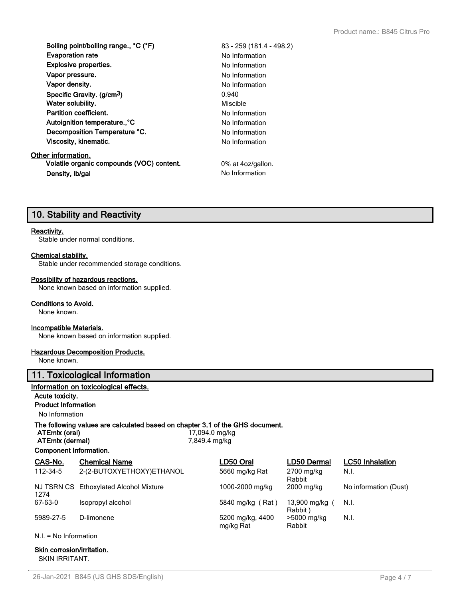**Boiling point/boiling range., °C (°F)** 83 - 259 (181.4 - 498.2) **Evaporation rate** No Information **Explosive properties.** No Information **Vapor pressure.** No Information **Vapor density.** No Information **Specific Gravity. (g/cm3)** 0.940 **Water solubility.** Miscible **Partition coefficient.** No Information Autoignition temperature.,<sup>°</sup>C No Information **Decomposition Temperature °C.** No Information **Viscosity, kinematic.** No Information **Other information. Volatile organic compounds (VOC) content.** 0% at 4oz/gallon. **Density, Ib/gal** No Information

## **10. Stability and Reactivity**

#### **Reactivity.**

Stable under normal conditions.

#### **Chemical stability.**

Stable under recommended storage conditions.

#### **Possibility of hazardous reactions.**

None known based on information supplied.

#### **Conditions to Avoid.**

None known.

#### **Incompatible Materials.**

None known based on information supplied.

#### **Hazardous Decomposition Products.**

None known.

## **11. Toxicological Information**

## **Information on toxicological effects.**

## **Acute toxicity.**

**Product Information**

No Information

## **The following values are calculated based on chapter 3.1 of the GHS document.**<br>ATEmix (oral)<br> $17.094.0 \text{ mol/kg}$

| ATEMIX (ORI)           |  |
|------------------------|--|
| <b>ATEmiv (dermal)</b> |  |

**Component Information.**

**ATEmix (oral)** 17,094.0 mg/kg **ATEmix (dermal)** 7,849.4 mg/kg

| CAS-No.   | <b>Chemical Name</b>                   | LD50 Oral                     | <b>LD50 Dermal</b>      | <b>LC50</b> Inhalation |
|-----------|----------------------------------------|-------------------------------|-------------------------|------------------------|
| 112-34-5  | 2-(2-BUTOXYETHOXY)ETHANOL              | 5660 mg/kg Rat                | 2700 mg/kg<br>Rabbit    | N.I.                   |
| 1274      | NJ TSRN CS Ethoxylated Alcohol Mixture | 1000-2000 mg/kg               | 2000 mg/kg              | No information (Dust)  |
| 67-63-0   | Isopropyl alcohol                      | 5840 mg/kg (Rat)              | 13,900 mg/kg<br>Rabbit) | N.I.                   |
| 5989-27-5 | D-limonene                             | 5200 mg/kg, 4400<br>mg/kg Rat | >5000 mg/kg<br>Rabbit   | N.I.                   |

N.I. = No Information

## **Skin corrosion/irritation.**

SKIN IRRITANT.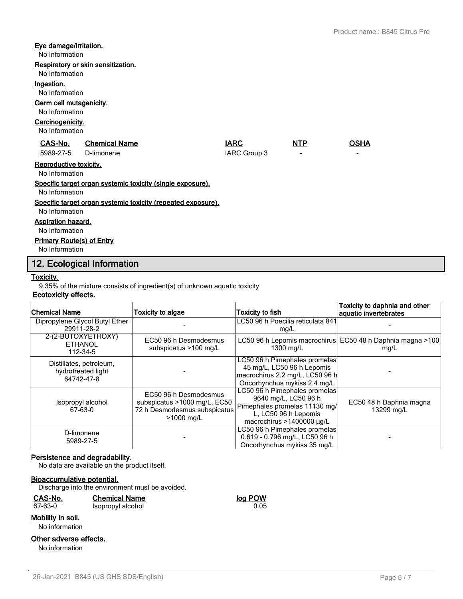### **Eye damage/irritation.**

No Information

#### **Respiratory or skin sensitization.**

### No Information

**Ingestion.**

No Information

### **Germ cell mutagenicity.**

## No Information

#### **Carcinogenicity.**

No Information

| CAS-No.              | <b>Chemical Name</b> | <b>IARC</b>  | <b>NTP</b> | OSHA |
|----------------------|----------------------|--------------|------------|------|
| 5989-27-5 D-limonene |                      | IARC Group 3 | -          | -    |

## **Reproductive toxicity.**

No Information

**Specific target organ systemic toxicity (single exposure).**

No Information

#### **Specific target organ systemic toxicity (repeated exposure).**

No Information

#### **Aspiration hazard.**

No Information

### **Primary Route(s) of Entry**

No Information

## **12. Ecological Information**

#### **Toxicity.**

9.35% of the mixture consists of ingredient(s) of unknown aquatic toxicity

### **Ecotoxicity effects.**

| Chemical Name                                               | <b>Toxicity to algae</b>                                                                            | Toxicity to fish                                                                                                                            | Toxicity to daphnia and other<br>aquatic invertebrates               |
|-------------------------------------------------------------|-----------------------------------------------------------------------------------------------------|---------------------------------------------------------------------------------------------------------------------------------------------|----------------------------------------------------------------------|
| Dipropylene Glycol Butyl Ether<br>29911-28-2                |                                                                                                     | LC50 96 h Poecilia reticulata 841<br>mg/L                                                                                                   |                                                                      |
| 2-(2-BUTOXYETHOXY)<br><b>ETHANOL</b><br>112-34-5            | EC50 96 h Desmodesmus<br>subspicatus >100 mg/L                                                      | 1300 mg/L                                                                                                                                   | LC50 96 h Lepomis macrochirus   EC50 48 h Daphnia magna >100<br>mg/L |
| Distillates, petroleum,<br>hydrotreated light<br>64742-47-8 |                                                                                                     | LC50 96 h Pimephales promelas<br>45 mg/L, LC50 96 h Lepomis<br>macrochirus 2.2 mg/L, LC50 96 h<br>Oncorhynchus mykiss 2.4 mg/L              |                                                                      |
| Isopropyl alcohol<br>67-63-0                                | EC50 96 h Desmodesmus<br>subspicatus >1000 mg/L, EC50<br>72 h Desmodesmus subspicatus<br>>1000 mg/L | LC50 96 h Pimephales promelas<br>9640 mg/L, LC50 96 h<br>Pimephales promelas 11130 mg/<br>L, LC50 96 h Lepomis<br>macrochirus >1400000 µg/L | EC50 48 h Daphnia magna<br>13299 mg/L                                |
| D-limonene<br>5989-27-5                                     |                                                                                                     | LC50 96 h Pimephales promelas<br>0.619 - 0.796 mg/L, LC50 96 h<br>Oncorhynchus mykiss 35 mg/L                                               |                                                                      |

### **Persistence and degradability.**

No data are available on the product itself.

#### **Bioaccumulative potential.**

Discharge into the environment must be avoided.

| CAS-No.          | <b>Chemical Name</b> | log POW |
|------------------|----------------------|---------|
| 67-63-0          | Isopropyl alcohol    | 0.05    |
| Aobility in eoil |                      |         |

## **Mobility in soil.**

No information

#### **Other adverse effects.**

No information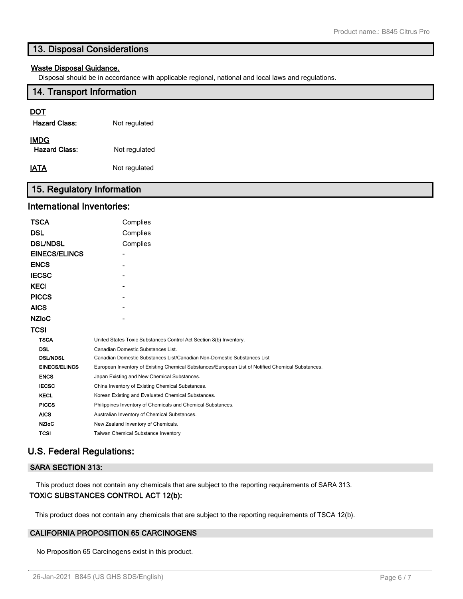## **13. Disposal Considerations**

## **Waste Disposal Guidance.**

Disposal should be in accordance with applicable regional, national and local laws and regulations.

## **14. Transport Information**

## **DOT**

| <b>Hazard Class:</b>                | Not regulated |
|-------------------------------------|---------------|
| <b>IMDG</b><br><b>Hazard Class:</b> | Not regulated |
| IATA                                | Not regulated |

## **15. Regulatory Information**

## **International Inventories:**

| TSCA                 | Complies                                                                                          |
|----------------------|---------------------------------------------------------------------------------------------------|
| DSL                  | Complies                                                                                          |
| <b>DSL/NDSL</b>      | Complies                                                                                          |
| <b>EINECS/ELINCS</b> |                                                                                                   |
| <b>ENCS</b>          |                                                                                                   |
| <b>IECSC</b>         |                                                                                                   |
| <b>KECI</b>          |                                                                                                   |
| <b>PICCS</b>         |                                                                                                   |
| <b>AICS</b>          |                                                                                                   |
| <b>NZIoC</b>         |                                                                                                   |
| TCSI                 |                                                                                                   |
| <b>TSCA</b>          | United States Toxic Substances Control Act Section 8(b) Inventory.                                |
| <b>DSL</b>           | Canadian Domestic Substances List.                                                                |
| <b>DSL/NDSL</b>      | Canadian Domestic Substances List/Canadian Non-Domestic Substances List                           |
| <b>EINECS/ELINCS</b> | European Inventory of Existing Chemical Substances/European List of Notified Chemical Substances. |
| <b>ENCS</b>          | Japan Existing and New Chemical Substances.                                                       |
| <b>IECSC</b>         | China Inventory of Existing Chemical Substances.                                                  |
| <b>KECL</b>          | Korean Existing and Evaluated Chemical Substances.                                                |
| <b>PICCS</b>         | Philippines Inventory of Chemicals and Chemical Substances.                                       |
| <b>AICS</b>          | Australian Inventory of Chemical Substances.                                                      |
| <b>NZIoC</b>         | New Zealand Inventory of Chemicals.                                                               |
| TCSI                 | Taiwan Chemical Substance Inventory                                                               |
|                      |                                                                                                   |

## **U.S. Federal Regulations:**

## **SARA SECTION 313:**

This product does not contain any chemicals that are subject to the reporting requirements of SARA 313.

## **TOXIC SUBSTANCES CONTROL ACT 12(b):**

This product does not contain any chemicals that are subject to the reporting requirements of TSCA 12(b).

## **CALIFORNIA PROPOSITION 65 CARCINOGENS**

No Proposition 65 Carcinogens exist in this product.